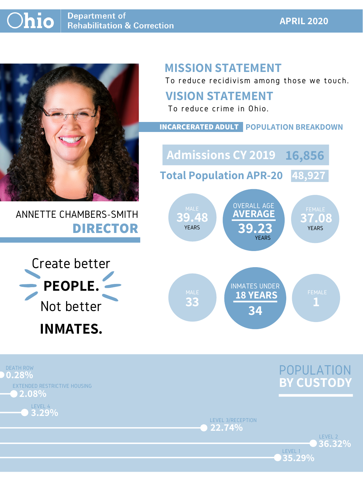#### **APRIL 2020**



## ANNETTE CHAMBERS-SMITH **DIRECTOR**

## **MISSION STATEMENT**

To reduce recidivism among those we touch.





LEVEL 1

LEVEL 3/RECEPTION **22.74%**





### **VISION STATEMENT**



To reduce crime in Ohio.

#### **INCARCERATED ADULT POPULATION BREAKDOWN**

**Total Population APR-20 48,927**

**Admissions CY 2019 16,856**

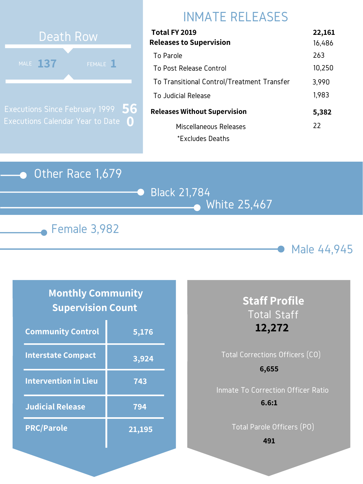

Black 21,784 White 25,467





## INMATE RELEASES

| Total FY 2019                              | 22,161 |
|--------------------------------------------|--------|
| <b>Releases to Supervision</b>             | 16,486 |
| To Parole                                  | 263    |
| To Post Release Control                    | 10,250 |
| To Transitional Control/Treatment Transfer | 3,990  |
| To Judicial Release                        | 1,983  |
| <b>Releases Without Supervision</b>        | 5,382  |
| Miscellaneous Releases                     | 22     |
| *Excludes Deaths                           |        |



Executions Since February 1999 Executions Calendar Year to Date **0 56**

### **Monthly Community Supervision Count**

| <b>Community Control</b>    | 5,176         |
|-----------------------------|---------------|
| <b>Interstate Compact</b>   | 3,924         |
| <b>Intervention in Lieu</b> | 743           |
| <b>Judicial Release</b>     | 794           |
| <b>PRC/Parole</b>           | <u>21,195</u> |

# Total Corrections Officers (CO) **6,655**

## **Staff Profile** Total Staff **12,272**

Inmate To Correction Officer Ratio **6.6:1**

Total Parole Officers (PO)

**491**